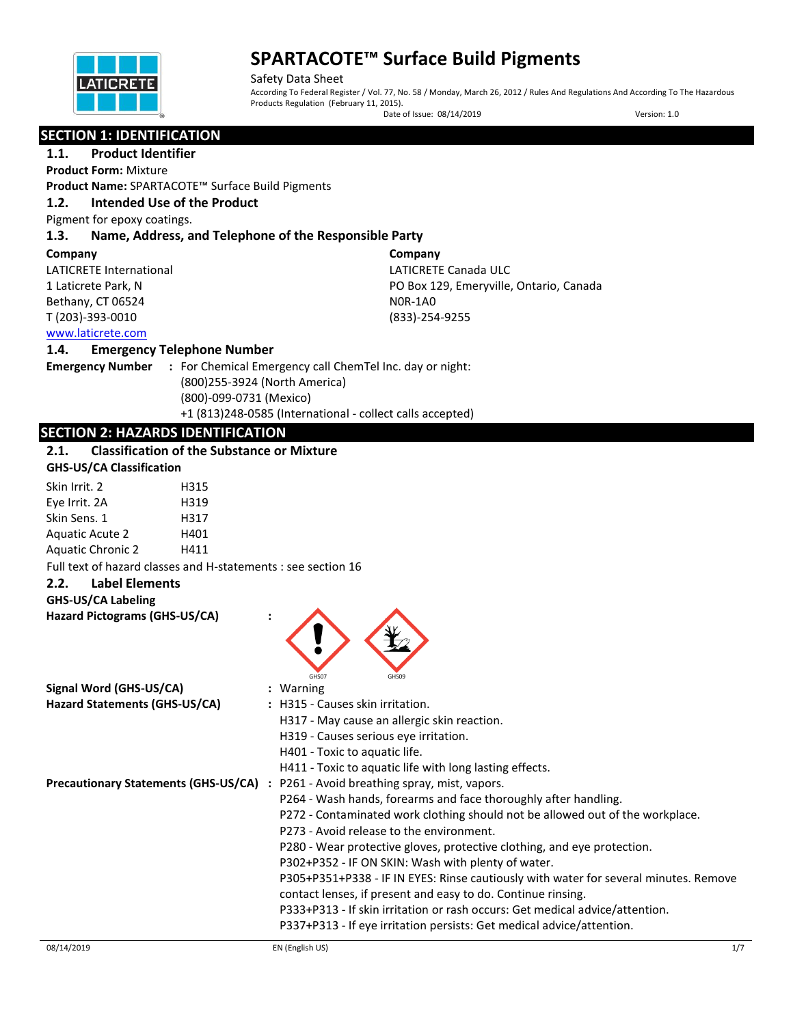

Safety Data Sheet According To Federal Register / Vol. 77, No. 58 / Monday, March 26, 2012 / Rules And Regulations And According To The Hazardous Products Regulation (February 11, 2015). Date of Issue: 08/14/2019 Version: 1.0

## **SECTION 1: IDENTIFICATION**

## **1.1. Product Identifier**

**Product Form:** Mixture

**Product Name:** SPARTACOTE™ Surface Build Pigments

## **1.2. Intended Use of the Product**

Pigment for epoxy coatings.

#### **1.3. Name, Address, and Telephone of the Responsible Party**

#### **Company**

LATICRETE International 1 Laticrete Park, N Bethany, CT 06524 T (203)-393-0010

**Company** LATICRETE Canada ULC PO Box 129, Emeryville, Ontario, Canada N0R-1A0 (833)-254-9255

#### [www.laticrete.com](http://www.laticrete.com/)

#### **1.4. Emergency Telephone Number**

**Emergency Number :** For Chemical Emergency call ChemTel Inc. day or night: (800)255-3924 (North America) (800)-099-0731 (Mexico) +1 (813)248-0585 (International - collect calls accepted)

## **SECTION 2: HAZARDS IDENTIFICATION**

## **2.1. Classification of the Substance or Mixture**

| <b>GHS-US/CA Classification</b> |  |
|---------------------------------|--|
|                                 |  |

| Skin Irrit. 2            | H315 |
|--------------------------|------|
| Eye Irrit. 2A            | H319 |
| Skin Sens. 1             | H317 |
| <b>Aquatic Acute 2</b>   | H401 |
| <b>Aquatic Chronic 2</b> | H411 |

Full text of hazard classes and H-statements : see section 16

#### **2.2. Label Elements**

#### **GHS-US/CA Labeling**

| Hazard Pictograms (GHS-US/CA) |                                                                                           |
|-------------------------------|-------------------------------------------------------------------------------------------|
| Signal Word (GHS-US/CA)       | GHS07<br>GHSO9<br>: Warning                                                               |
| Hazard Statements (GHS-US/CA) | : H315 - Causes skin irritation.                                                          |
|                               | H317 - May cause an allergic skin reaction.                                               |
|                               | H319 - Causes serious eye irritation.                                                     |
|                               | H401 - Toxic to aquatic life.                                                             |
|                               | H411 - Toxic to aquatic life with long lasting effects.                                   |
|                               | <b>Precautionary Statements (GHS-US/CA)</b> : P261 - Avoid breathing spray, mist, vapors. |
|                               | P264 - Wash hands, forearms and face thoroughly after handling.                           |
|                               | P272 - Contaminated work clothing should not be allowed out of the workplace.             |
|                               | P273 - Avoid release to the environment.                                                  |
|                               | P280 - Wear protective gloves, protective clothing, and eye protection.                   |
|                               | P302+P352 - IF ON SKIN: Wash with plenty of water.                                        |
|                               | P305+P351+P338 - IF IN EYES: Rinse cautiously with water for several minutes. Remove      |
|                               | contact lenses, if present and easy to do. Continue rinsing.                              |
|                               | P333+P313 - If skin irritation or rash occurs: Get medical advice/attention.              |
|                               | P337+P313 - If eye irritation persists: Get medical advice/attention.                     |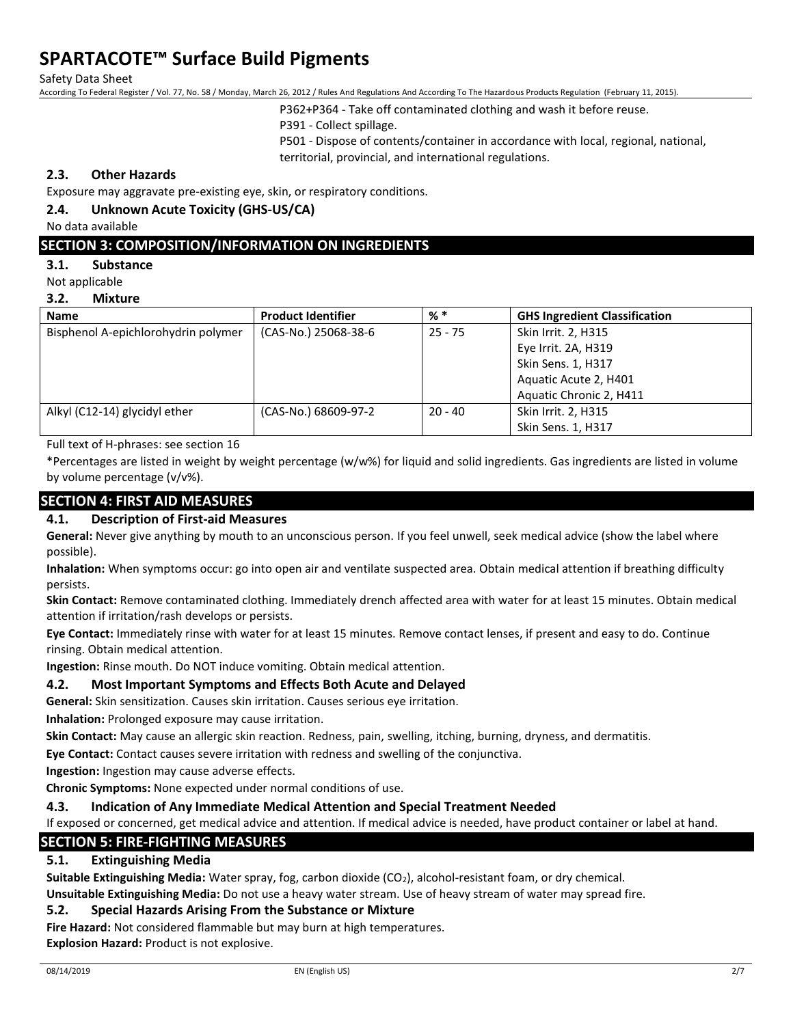Safety Data Sheet

According To Federal Register / Vol. 77, No. 58 / Monday, March 26, 2012 / Rules And Regulations And According To The Hazardous Products Regulation (February 11, 2015).

P362+P364 - Take off contaminated clothing and wash it before reuse.

P391 - Collect spillage.

P501 - Dispose of contents/container in accordance with local, regional, national, territorial, provincial, and international regulations.

## **2.3. Other Hazards**

Exposure may aggravate pre-existing eye, skin, or respiratory conditions.

#### **2.4. Unknown Acute Toxicity (GHS-US/CA)**

No data available

### **SECTION 3: COMPOSITION/INFORMATION ON INGREDIENTS**

#### **3.1. Substance**

Not applicable

#### **3.2. Mixture**

| <b>Name</b>                         | <b>Product Identifier</b> | $%$ $*$   | <b>GHS Ingredient Classification</b> |
|-------------------------------------|---------------------------|-----------|--------------------------------------|
| Bisphenol A-epichlorohydrin polymer | (CAS-No.) 25068-38-6      | $25 - 75$ | Skin Irrit. 2, H315                  |
|                                     |                           |           | Eye Irrit. 2A, H319                  |
|                                     |                           |           | Skin Sens. 1, H317                   |
|                                     |                           |           | Aquatic Acute 2, H401                |
|                                     |                           |           | Aquatic Chronic 2, H411              |
| Alkyl (C12-14) glycidyl ether       | (CAS-No.) 68609-97-2      | $20 - 40$ | Skin Irrit. 2, H315                  |
|                                     |                           |           | Skin Sens. 1, H317                   |

Full text of H-phrases: see section 16

\*Percentages are listed in weight by weight percentage (w/w%) for liquid and solid ingredients. Gas ingredients are listed in volume by volume percentage (v/v%).

#### **SECTION 4: FIRST AID MEASURES**

#### **4.1. Description of First-aid Measures**

**General:** Never give anything by mouth to an unconscious person. If you feel unwell, seek medical advice (show the label where possible).

**Inhalation:** When symptoms occur: go into open air and ventilate suspected area. Obtain medical attention if breathing difficulty persists.

**Skin Contact:** Remove contaminated clothing. Immediately drench affected area with water for at least 15 minutes. Obtain medical attention if irritation/rash develops or persists.

**Eye Contact:** Immediately rinse with water for at least 15 minutes. Remove contact lenses, if present and easy to do. Continue rinsing. Obtain medical attention.

**Ingestion:** Rinse mouth. Do NOT induce vomiting. Obtain medical attention.

#### **4.2. Most Important Symptoms and Effects Both Acute and Delayed**

**General:** Skin sensitization. Causes skin irritation. Causes serious eye irritation.

**Inhalation:** Prolonged exposure may cause irritation.

**Skin Contact:** May cause an allergic skin reaction. Redness, pain, swelling, itching, burning, dryness, and dermatitis.

**Eye Contact:** Contact causes severe irritation with redness and swelling of the conjunctiva.

**Ingestion:** Ingestion may cause adverse effects.

**Chronic Symptoms:** None expected under normal conditions of use.

#### **4.3. Indication of Any Immediate Medical Attention and Special Treatment Needed**

If exposed or concerned, get medical advice and attention. If medical advice is needed, have product container or label at hand.

## **SECTION 5: FIRE-FIGHTING MEASURES**

#### **5.1. Extinguishing Media**

**Suitable Extinguishing Media:** Water spray, fog, carbon dioxide (CO2), alcohol-resistant foam, or dry chemical.

**Unsuitable Extinguishing Media:** Do not use a heavy water stream. Use of heavy stream of water may spread fire.

#### **5.2. Special Hazards Arising From the Substance or Mixture**

**Fire Hazard:** Not considered flammable but may burn at high temperatures.

**Explosion Hazard:** Product is not explosive.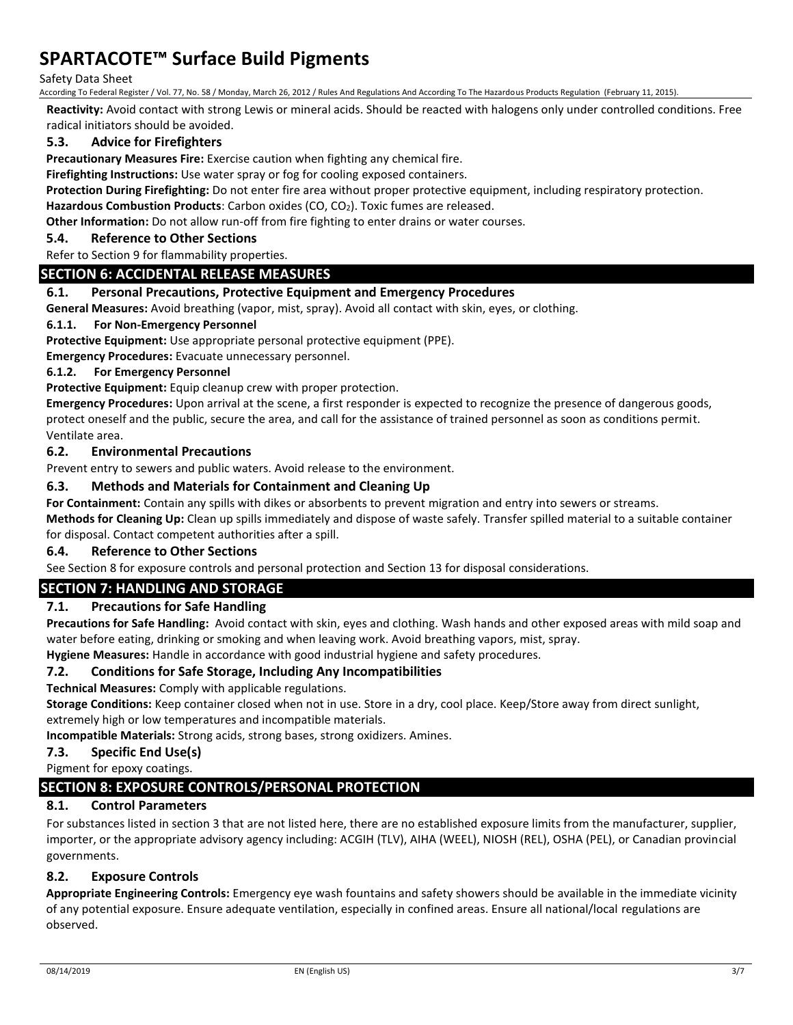#### Safety Data Sheet

According To Federal Register / Vol. 77, No. 58 / Monday, March 26, 2012 / Rules And Regulations And According To The Hazardous Products Regulation (February 11, 2015).

**Reactivity:** Avoid contact with strong Lewis or mineral acids. Should be reacted with halogens only under controlled conditions. Free radical initiators should be avoided.

## **5.3. Advice for Firefighters**

**Precautionary Measures Fire:** Exercise caution when fighting any chemical fire.

**Firefighting Instructions:** Use water spray or fog for cooling exposed containers.

**Protection During Firefighting:** Do not enter fire area without proper protective equipment, including respiratory protection.

Hazardous Combustion Products: Carbon oxides (CO, CO<sub>2</sub>). Toxic fumes are released.

**Other Information:** Do not allow run-off from fire fighting to enter drains or water courses.

### **5.4. Reference to Other Sections**

Refer to Section 9 for flammability properties.

#### **SECTION 6: ACCIDENTAL RELEASE MEASURES**

#### **6.1. Personal Precautions, Protective Equipment and Emergency Procedures**

**General Measures:** Avoid breathing (vapor, mist, spray). Avoid all contact with skin, eyes, or clothing.

#### **6.1.1. For Non-Emergency Personnel**

**Protective Equipment:** Use appropriate personal protective equipment (PPE).

**Emergency Procedures:** Evacuate unnecessary personnel.

#### **6.1.2. For Emergency Personnel**

**Protective Equipment:** Equip cleanup crew with proper protection.

**Emergency Procedures:** Upon arrival at the scene, a first responder is expected to recognize the presence of dangerous goods, protect oneself and the public, secure the area, and call for the assistance of trained personnel as soon as conditions permit. Ventilate area.

#### **6.2. Environmental Precautions**

Prevent entry to sewers and public waters. Avoid release to the environment.

#### **6.3. Methods and Materials for Containment and Cleaning Up**

**For Containment:** Contain any spills with dikes or absorbents to prevent migration and entry into sewers or streams.

**Methods for Cleaning Up:** Clean up spills immediately and dispose of waste safely. Transfer spilled material to a suitable container for disposal. Contact competent authorities after a spill.

## **6.4. Reference to Other Sections**

See Section 8 for exposure controls and personal protection and Section 13 for disposal considerations.

## **SECTION 7: HANDLING AND STORAGE**

#### **7.1. Precautions for Safe Handling**

**Precautions for Safe Handling:** Avoid contact with skin, eyes and clothing. Wash hands and other exposed areas with mild soap and water before eating, drinking or smoking and when leaving work. Avoid breathing vapors, mist, spray.

**Hygiene Measures:** Handle in accordance with good industrial hygiene and safety procedures.

#### **7.2. Conditions for Safe Storage, Including Any Incompatibilities**

**Technical Measures:** Comply with applicable regulations.

**Storage Conditions:** Keep container closed when not in use. Store in a dry, cool place. Keep/Store away from direct sunlight, extremely high or low temperatures and incompatible materials.

**Incompatible Materials:** Strong acids, strong bases, strong oxidizers. Amines.

#### **7.3. Specific End Use(s)**

Pigment for epoxy coatings.

#### **SECTION 8: EXPOSURE CONTROLS/PERSONAL PROTECTION**

#### **8.1. Control Parameters**

For substances listed in section 3 that are not listed here, there are no established exposure limits from the manufacturer, supplier, importer, or the appropriate advisory agency including: ACGIH (TLV), AIHA (WEEL), NIOSH (REL), OSHA (PEL), or Canadian provincial governments.

#### **8.2. Exposure Controls**

**Appropriate Engineering Controls:** Emergency eye wash fountains and safety showers should be available in the immediate vicinity of any potential exposure. Ensure adequate ventilation, especially in confined areas. Ensure all national/local regulations are observed.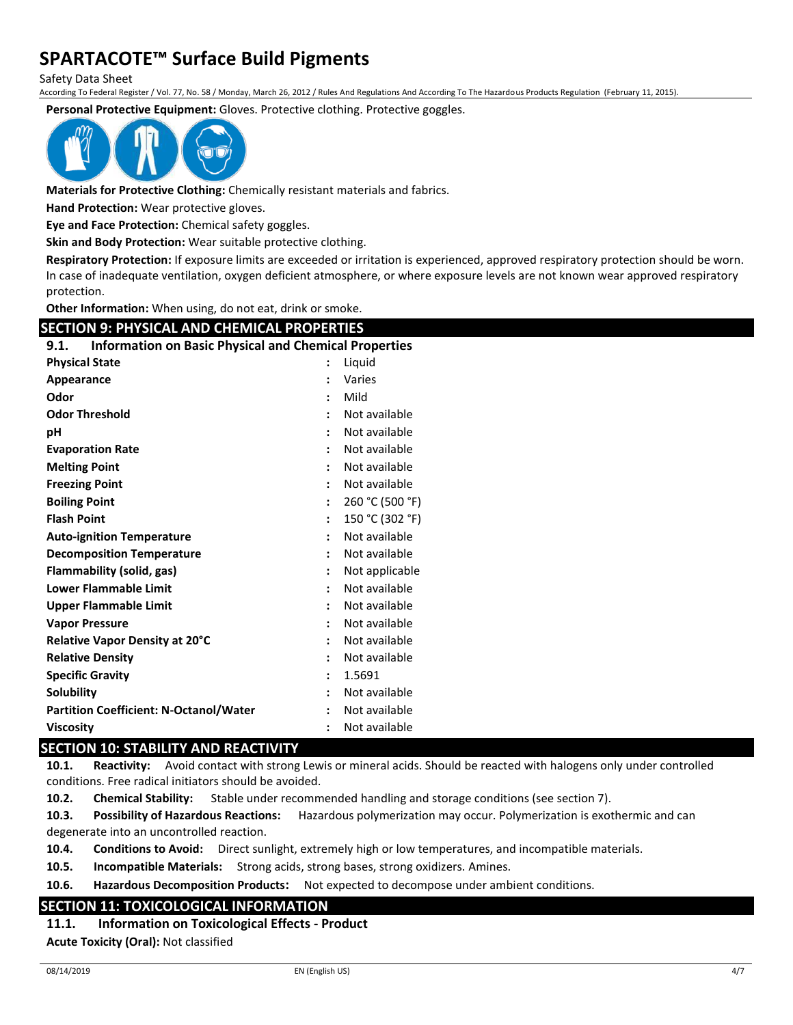Safety Data Sheet

According To Federal Register / Vol. 77, No. 58 / Monday, March 26, 2012 / Rules And Regulations And According To The Hazardous Products Regulation (February 11, 2015).

**Personal Protective Equipment:** Gloves. Protective clothing. Protective goggles.



**Materials for Protective Clothing:** Chemically resistant materials and fabrics.

**Hand Protection:** Wear protective gloves.

**Eye and Face Protection:** Chemical safety goggles.

**Skin and Body Protection:** Wear suitable protective clothing.

**Respiratory Protection:** If exposure limits are exceeded or irritation is experienced, approved respiratory protection should be worn. In case of inadequate ventilation, oxygen deficient atmosphere, or where exposure levels are not known wear approved respiratory protection.

**Other Information:** When using, do not eat, drink or smoke.

| <b>SECTION 9: PHYSICAL AND CHEMICAL PROPERTIES</b>                   |                 |  |  |
|----------------------------------------------------------------------|-----------------|--|--|
| <b>Information on Basic Physical and Chemical Properties</b><br>9.1. |                 |  |  |
| <b>Physical State</b>                                                | Liquid          |  |  |
| Appearance                                                           | Varies          |  |  |
| Odor                                                                 | Mild            |  |  |
| <b>Odor Threshold</b>                                                | Not available   |  |  |
| рH                                                                   | Not available   |  |  |
| <b>Evaporation Rate</b>                                              | Not available   |  |  |
| <b>Melting Point</b>                                                 | Not available   |  |  |
| <b>Freezing Point</b>                                                | Not available   |  |  |
| <b>Boiling Point</b>                                                 | 260 °C (500 °F) |  |  |
| <b>Flash Point</b>                                                   | 150 °C (302 °F) |  |  |
| <b>Auto-ignition Temperature</b>                                     | Not available   |  |  |
| <b>Decomposition Temperature</b>                                     | Not available   |  |  |
| Flammability (solid, gas)                                            | Not applicable  |  |  |
| <b>Lower Flammable Limit</b>                                         | Not available   |  |  |
| <b>Upper Flammable Limit</b>                                         | Not available   |  |  |
| <b>Vapor Pressure</b>                                                | Not available   |  |  |
| Relative Vapor Density at 20°C                                       | Not available   |  |  |
| <b>Relative Density</b>                                              | Not available   |  |  |
| <b>Specific Gravity</b>                                              | 1.5691          |  |  |
| Solubility                                                           | Not available   |  |  |
| <b>Partition Coefficient: N-Octanol/Water</b>                        | Not available   |  |  |
| <b>Viscosity</b>                                                     | Not available   |  |  |

#### **SECTION 10: STABILITY AND REACTIVITY**

**10.1. Reactivity:** Avoid contact with strong Lewis or mineral acids. Should be reacted with halogens only under controlled conditions. Free radical initiators should be avoided.

**10.2. Chemical Stability:** Stable under recommended handling and storage conditions (see section 7).

**10.3. Possibility of Hazardous Reactions:** Hazardous polymerization may occur. Polymerization is exothermic and can degenerate into an uncontrolled reaction.

**10.4. Conditions to Avoid:** Direct sunlight, extremely high or low temperatures, and incompatible materials.

**10.5. Incompatible Materials:** Strong acids, strong bases, strong oxidizers. Amines.

**10.6. Hazardous Decomposition Products:** Not expected to decompose under ambient conditions.

#### **SECTION 11: TOXICOLOGICAL INFORMATION**

**11.1. Information on Toxicological Effects - Product**

**Acute Toxicity (Oral):** Not classified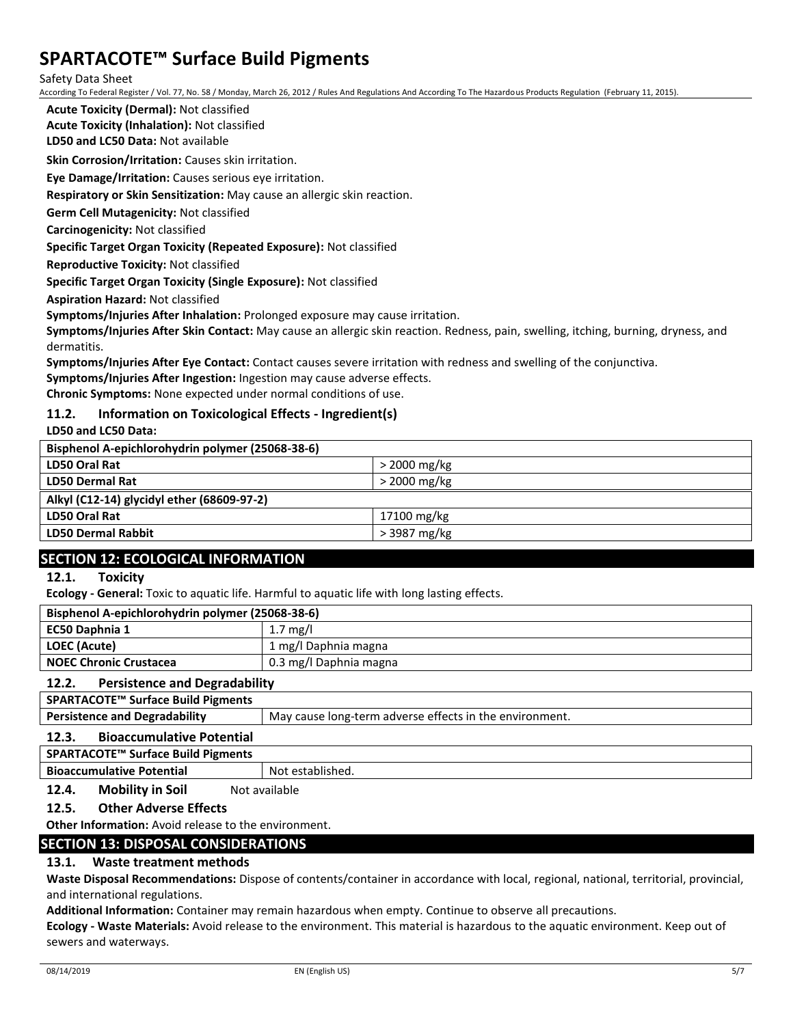Safety Data Sheet

According To Federal Register / Vol. 77, No. 58 / Monday, March 26, 2012 / Rules And Regulations And According To The Hazardous Products Regulation (February 11, 2015).

**Acute Toxicity (Dermal):** Not classified

**Acute Toxicity (Inhalation):** Not classified

**LD50 and LC50 Data:** Not available

**Skin Corrosion/Irritation:** Causes skin irritation.

**Eye Damage/Irritation:** Causes serious eye irritation.

**Respiratory or Skin Sensitization:** May cause an allergic skin reaction.

**Germ Cell Mutagenicity:** Not classified

**Carcinogenicity:** Not classified

**Specific Target Organ Toxicity (Repeated Exposure):** Not classified

**Reproductive Toxicity:** Not classified

**Specific Target Organ Toxicity (Single Exposure):** Not classified

**Aspiration Hazard:** Not classified

**Symptoms/Injuries After Inhalation:** Prolonged exposure may cause irritation.

**Symptoms/Injuries After Skin Contact:** May cause an allergic skin reaction. Redness, pain, swelling, itching, burning, dryness, and dermatitis.

**Symptoms/Injuries After Eye Contact:** Contact causes severe irritation with redness and swelling of the conjunctiva.

**Symptoms/Injuries After Ingestion:** Ingestion may cause adverse effects.

**Chronic Symptoms:** None expected under normal conditions of use.

#### **11.2. Information on Toxicological Effects - Ingredient(s)**

**LD50 and LC50 Data:**

| Bisphenol A-epichlorohydrin polymer (25068-38-6) |                |  |
|--------------------------------------------------|----------------|--|
| <b>LD50 Oral Rat</b>                             | $>$ 2000 mg/kg |  |
| <b>LD50 Dermal Rat</b>                           | $>$ 2000 mg/kg |  |
| Alkyl (C12-14) glycidyl ether (68609-97-2)       |                |  |
| LD50 Oral Rat                                    | 17100 mg/kg    |  |
| <b>LD50 Dermal Rabbit</b>                        | > 3987 mg/kg   |  |

## **SECTION 12: ECOLOGICAL INFORMATION**

#### **12.1. Toxicity**

**Ecology - General:** Toxic to aquatic life. Harmful to aquatic life with long lasting effects.

| Bisphenol A-epichlorohydrin polymer (25068-38-6) |                        |
|--------------------------------------------------|------------------------|
| EC50 Daphnia 1                                   | $1.7 \text{ mg/l}$     |
| LOEC (Acute)                                     | 1 mg/l Daphnia magna   |
| <b>NOEC Chronic Crustacea</b>                    | 0.3 mg/l Daphnia magna |

#### **12.2. Persistence and Degradability**

|  | <b>Persistence and Degradability</b> | May cause long-term adverse effects in the environment. |
|--|--------------------------------------|---------------------------------------------------------|
|--|--------------------------------------|---------------------------------------------------------|

#### **12.3. Bioaccumulative Potential**

**SPARTACOTE™ Surface Build Pigments**

**Bioaccumulative Potential** Not established.

**12.4. Mobility in Soil** Not available

#### **12.5. Other Adverse Effects**

**Other Information:** Avoid release to the environment.

## **SECTION 13: DISPOSAL CONSIDERATIONS**

#### **13.1. Waste treatment methods**

**Waste Disposal Recommendations:** Dispose of contents/container in accordance with local, regional, national, territorial, provincial, and international regulations.

**Additional Information:** Container may remain hazardous when empty. Continue to observe all precautions.

**Ecology - Waste Materials:** Avoid release to the environment. This material is hazardous to the aquatic environment. Keep out of sewers and waterways.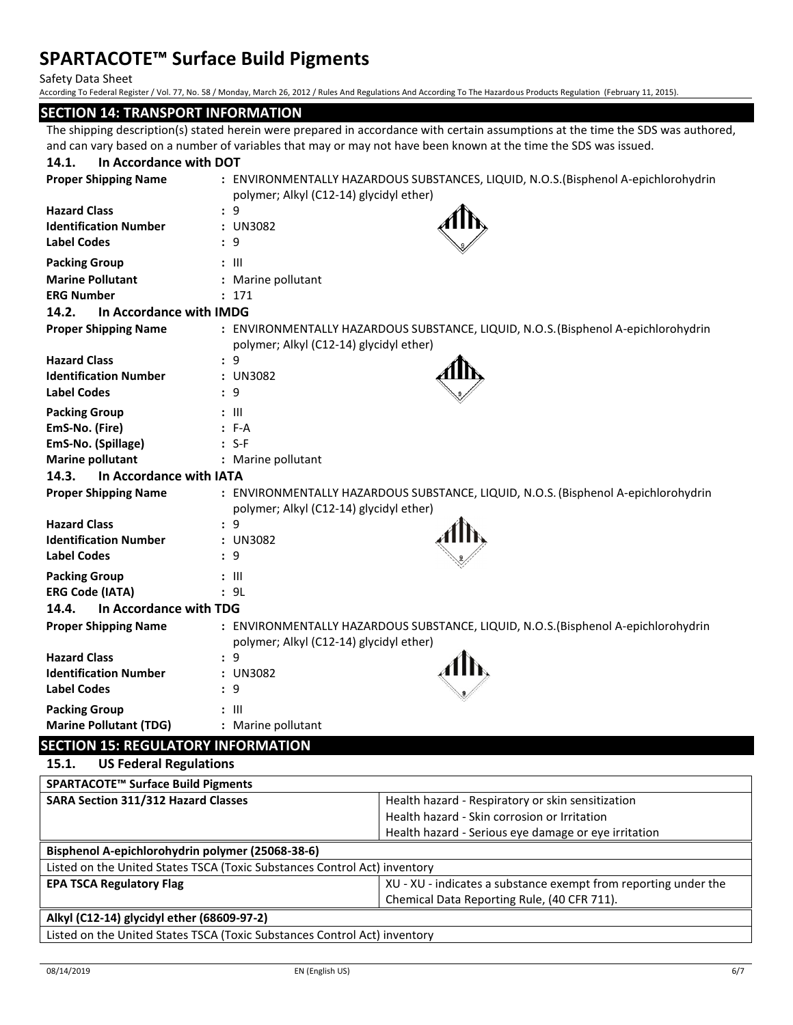Safety Data Sheet

According To Federal Register / Vol. 77, No. 58 / Monday, March 26, 2012 / Rules And Regulations And According To The Hazardous Products Regulation (February 11, 2015).

#### **SECTION 14: TRANSPORT INFORMATION**

The shipping description(s) stated herein were prepared in accordance with certain assumptions at the time the SDS was authored, and can vary based on a number of variables that may or may not have been known at the time the SDS was issued.

| In Accordance with DOT<br>14.1.                                                                                                                                                                                                                                                                                                                     |                                                                                                                               |
|-----------------------------------------------------------------------------------------------------------------------------------------------------------------------------------------------------------------------------------------------------------------------------------------------------------------------------------------------------|-------------------------------------------------------------------------------------------------------------------------------|
| <b>Proper Shipping Name</b>                                                                                                                                                                                                                                                                                                                         | : ENVIRONMENTALLY HAZARDOUS SUBSTANCES, LIQUID, N.O.S.(Bisphenol A-epichlorohydrin                                            |
|                                                                                                                                                                                                                                                                                                                                                     | polymer; Alkyl (C12-14) glycidyl ether)                                                                                       |
| <b>Hazard Class</b>                                                                                                                                                                                                                                                                                                                                 | : 9                                                                                                                           |
| <b>Identification Number</b>                                                                                                                                                                                                                                                                                                                        | : UN3082                                                                                                                      |
| <b>Label Codes</b>                                                                                                                                                                                                                                                                                                                                  | : 9                                                                                                                           |
| <b>Packing Group</b>                                                                                                                                                                                                                                                                                                                                | $: \mathbb{H}$                                                                                                                |
| <b>Marine Pollutant</b>                                                                                                                                                                                                                                                                                                                             | : Marine pollutant                                                                                                            |
| <b>ERG Number</b>                                                                                                                                                                                                                                                                                                                                   | : 171                                                                                                                         |
| 14.2.<br>In Accordance with IMDG                                                                                                                                                                                                                                                                                                                    |                                                                                                                               |
| <b>Proper Shipping Name</b>                                                                                                                                                                                                                                                                                                                         | : ENVIRONMENTALLY HAZARDOUS SUBSTANCE, LIQUID, N.O.S. (Bisphenol A-epichlorohydrin<br>polymer; Alkyl (C12-14) glycidyl ether) |
| <b>Hazard Class</b>                                                                                                                                                                                                                                                                                                                                 | : 9                                                                                                                           |
| <b>Identification Number</b>                                                                                                                                                                                                                                                                                                                        | : UN3082                                                                                                                      |
| <b>Label Codes</b>                                                                                                                                                                                                                                                                                                                                  | : 9                                                                                                                           |
|                                                                                                                                                                                                                                                                                                                                                     |                                                                                                                               |
| <b>Packing Group</b>                                                                                                                                                                                                                                                                                                                                | $: \mathbb{H}$                                                                                                                |
| EmS-No. (Fire)                                                                                                                                                                                                                                                                                                                                      | $: F-A$                                                                                                                       |
| EmS-No. (Spillage)                                                                                                                                                                                                                                                                                                                                  | $: S-F$                                                                                                                       |
| <b>Marine pollutant</b>                                                                                                                                                                                                                                                                                                                             | : Marine pollutant                                                                                                            |
| 14.3.<br>In Accordance with IATA                                                                                                                                                                                                                                                                                                                    |                                                                                                                               |
| <b>Proper Shipping Name</b>                                                                                                                                                                                                                                                                                                                         | : ENVIRONMENTALLY HAZARDOUS SUBSTANCE, LIQUID, N.O.S. (Bisphenol A-epichlorohydrin                                            |
|                                                                                                                                                                                                                                                                                                                                                     | polymer; Alkyl (C12-14) glycidyl ether)                                                                                       |
| <b>Hazard Class</b>                                                                                                                                                                                                                                                                                                                                 | : 9                                                                                                                           |
| <b>Identification Number</b>                                                                                                                                                                                                                                                                                                                        | : UN3082                                                                                                                      |
| <b>Label Codes</b>                                                                                                                                                                                                                                                                                                                                  | : 9                                                                                                                           |
| <b>Packing Group</b>                                                                                                                                                                                                                                                                                                                                | $: \mathsf{III}$                                                                                                              |
| <b>ERG Code (IATA)</b>                                                                                                                                                                                                                                                                                                                              | : 9L                                                                                                                          |
| 14.4.<br>In Accordance with TDG                                                                                                                                                                                                                                                                                                                     |                                                                                                                               |
| <b>Proper Shipping Name</b>                                                                                                                                                                                                                                                                                                                         | : ENVIRONMENTALLY HAZARDOUS SUBSTANCE, LIQUID, N.O.S.(Bisphenol A-epichlorohydrin                                             |
|                                                                                                                                                                                                                                                                                                                                                     | polymer; Alkyl (C12-14) glycidyl ether)                                                                                       |
| <b>Hazard Class</b>                                                                                                                                                                                                                                                                                                                                 | : 9                                                                                                                           |
| <b>Identification Number</b>                                                                                                                                                                                                                                                                                                                        | : UN3082                                                                                                                      |
| <b>Label Codes</b>                                                                                                                                                                                                                                                                                                                                  | : 9                                                                                                                           |
| <b>Packing Group</b>                                                                                                                                                                                                                                                                                                                                | $: \mathbb{H}$                                                                                                                |
| <b>Marine Pollutant (TDG)</b>                                                                                                                                                                                                                                                                                                                       | : Marine pollutant                                                                                                            |
| $\overline{a}$ . $\overline{a}$ . $\overline{a}$ . $\overline{a}$ . $\overline{a}$ . $\overline{a}$ . $\overline{a}$ . $\overline{a}$ . $\overline{a}$ . $\overline{a}$ . $\overline{a}$ . $\overline{a}$ . $\overline{a}$ . $\overline{a}$ . $\overline{a}$ . $\overline{a}$ . $\overline{a}$ . $\overline{a}$ . $\overline{a}$ . $\overline{a}$ . |                                                                                                                               |

## **SECTION 15: REGULATORY INFORMATION**

**15.1. US Federal Regulations SPARTACOTE™ Surface Build Pigments SARA Section 311/312 Hazard Classes** Health hazard - Respiratory or skin sensitization Health hazard - Skin corrosion or Irritation Health hazard - Serious eye damage or eye irritation **Bisphenol A-epichlorohydrin polymer (25068-38-6)** Listed on the United States TSCA (Toxic Substances Control Act) inventory **EPA TSCA Regulatory Flag EPA TSCA Regulatory Flag XU** - XU - XU - indicates a substance exempt from reporting under the Chemical Data Reporting Rule, (40 CFR 711). **Alkyl (C12-14) glycidyl ether (68609-97-2)** Listed on the United States TSCA (Toxic Substances Control Act) inventory